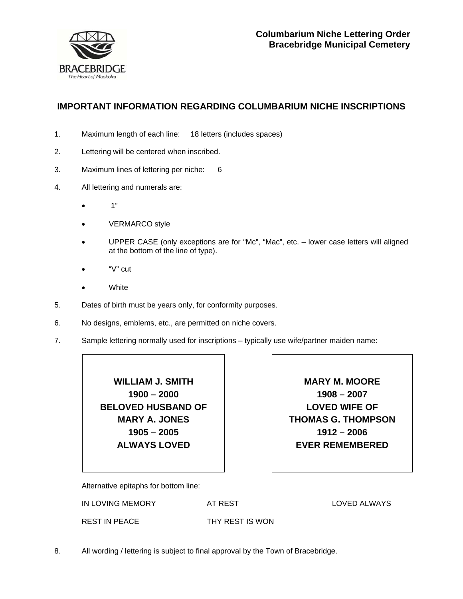

## **IMPORTANT INFORMATION REGARDING COLUMBARIUM NICHE INSCRIPTIONS**

- 1. Maximum length of each line: 18 letters (includes spaces)
- 2. Lettering will be centered when inscribed.
- 3. Maximum lines of lettering per niche: 6
- 4. All lettering and numerals are:
	- $\bullet$  1"
	- VERMARCO style
	- UPPER CASE (only exceptions are for "Mc", "Mac", etc. lower case letters will aligned at the bottom of the line of type).
	- $\bullet$  "V" cut
	- **White**
- 5. Dates of birth must be years only, for conformity purposes.
- 6. No designs, emblems, etc., are permitted on niche covers.
- 7. Sample lettering normally used for inscriptions typically use wife/partner maiden name:

**WILLIAM J. SMITH 1900 – 2000 BELOVED HUSBAND OF MARY A. JONES 1905 – 2005 ALWAYS LOVED** 

**MARY M. MOORE 1908 – 2007 LOVED WIFE OF THOMAS G. THOMPSON 1912 – 2006 EVER REMEMBERED** 

Alternative epitaphs for bottom line:

IN LOVING MEMORY

AT REST

LOVED ALWAYS

REST IN PEACE

THY REST IS WON

8. All wording / lettering is subject to final approval by the Town of Bracebridge.